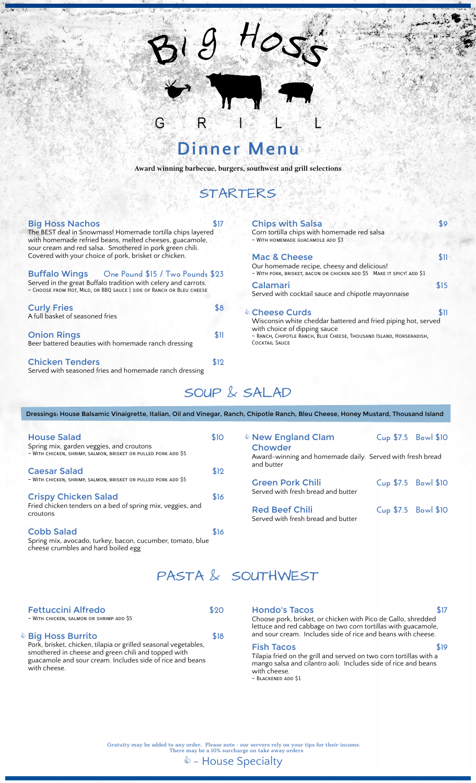# **Dinner Menu**

R

G

 $9H_0$ 

**Award winning barbecue, burgers, southwest and grill selections**

### STARTERS

| <b>Big Hoss Nachos</b><br>The BEST deal in Snowmass! Homemade tortilla chips layered<br>with homemade refried beans, melted cheeses, guacamole,<br>sour cream and red salsa. Smothered in pork green chili. | <b>Chips with Salsa</b><br>\$9<br>Corn tortilla chips with homemade red salsa<br>~ WITH HOMEMADE GUACAMOLE ADD \$3 |                                                                                                                              |      |  |  |
|-------------------------------------------------------------------------------------------------------------------------------------------------------------------------------------------------------------|--------------------------------------------------------------------------------------------------------------------|------------------------------------------------------------------------------------------------------------------------------|------|--|--|
| Covered with your choice of pork, brisket or chicken.                                                                                                                                                       |                                                                                                                    | Mac & Cheese                                                                                                                 | \$11 |  |  |
| Buffalo Wings One Pound \$15 / Two Pounds \$23                                                                                                                                                              |                                                                                                                    | Our homemade recipe, cheesy and delicious!<br>~ WITH PORK, BRISKET, BACON OR CHICKEN ADD \$5 MAKE IT SPICY! ADD \$1          |      |  |  |
| Served in the great Buffalo tradition with celery and carrots.<br>~ CHOOSE FROM HOT, MILD, OR BBQ SAUCE   SIDE OF RANCH OR BLEU CHEESE                                                                      |                                                                                                                    | Calamari<br>Served with cocktail sauce and chipotle mayonnaise                                                               |      |  |  |
| <b>Curly Fries</b><br>A full basket of seasoned fries                                                                                                                                                       | 88                                                                                                                 | & Cheese Curds<br>Wisconsin white cheddar battered and fried piping hot, served                                              | \$11 |  |  |
| <b>Onion Rings</b><br>Beer battered beauties with homemade ranch dressing                                                                                                                                   | \$11                                                                                                               | with choice of dipping sauce<br>~ RANCH, CHIPOTLE RANCH, BLUE CHEESE, THOUSAND ISLAND, HORSERADISH,<br><b>COCKTAIL SAUCE</b> |      |  |  |
| <b>Chicken Tenders</b><br>Served with seasoned fries and homemade ranch dressing                                                                                                                            | \$12                                                                                                               |                                                                                                                              |      |  |  |
|                                                                                                                                                                                                             |                                                                                                                    |                                                                                                                              |      |  |  |

# SOUP & SALAD

Dressings: House Balsamic Vinaigrette, Italian, Oil and Vinegar, Ranch, Chipotle Ranch, Bleu Cheese, Honey Mustard, Thousand Island

| <b>House Salad</b><br>Spring mix, garden veggies, and croutons                                                         | <b>New England Clam</b><br>\$10<br>Chowder |                                                                         | Cup \$7.5 Bowl \$10 |
|------------------------------------------------------------------------------------------------------------------------|--------------------------------------------|-------------------------------------------------------------------------|---------------------|
| ~ WITH CHICKEN, SHRIMP, SALMON, BRISKET OR PULLED PORK ADD \$5                                                         |                                            | Award-winning and homemade daily. Served with fresh bread<br>and butter |                     |
| <b>Caesar Salad</b>                                                                                                    | \$12                                       |                                                                         |                     |
| ~ WITH CHICKEN, SHRIMP, SALMON, BRISKET OR PULLED PORK ADD \$5                                                         |                                            | <b>Green Pork Chili</b>                                                 | Cup \$7.5 Bowl \$10 |
| <b>Crispy Chicken Salad</b>                                                                                            | \$16                                       | Served with fresh bread and butter                                      |                     |
| Fried chicken tenders on a bed of spring mix, veggies, and<br>croutons                                                 |                                            | <b>Red Beef Chili</b><br>Served with fresh bread and butter             | Cup \$7.5 Bowl \$10 |
| <b>Cobb Salad</b><br>Spring mix, avocado, turkey, bacon, cucumber, tomato, blue<br>cheese crumbles and hard boiled egg | \$16                                       |                                                                         |                     |
|                                                                                                                        |                                            |                                                                         |                     |

### PASTA & SOUTHWEST

| <b>Fettuccini Alfredo</b><br>~ WITH CHICKEN, SALMON OR SHRIMP ADD \$5                                                                                                                                                             |      |
|-----------------------------------------------------------------------------------------------------------------------------------------------------------------------------------------------------------------------------------|------|
| <b>Dig Hoss Burrito</b> ��<br>Pork, brisket, chicken, tilapia or grilled seasonal vegetables,<br>smothered in cheese and green chili and topped with<br>guacamole and sour cream. Includes side of rice and beans<br>with cheese. | \$18 |

Hondo's Tacos **\$17**

Choose pork, brisket, or chicken with Pico de Gallo, shredded lettuce and red cabbage on two corn tortillas with guacamole, and sour cream. Includes side of rice and beans with cheese.

#### Fish Tacos **\$19**

Tilapia fried on the grill and served on two corn tortillas with a mango salsa and cilantro aoli. Includes side of rice and beans with cheese. ~ Blackened add \$1

Gratuity may be added to any order. Please note - our servers rely on your tips for their income. There may be a 10% surcharge on take away orders

 $\triangle$  - House Specialty